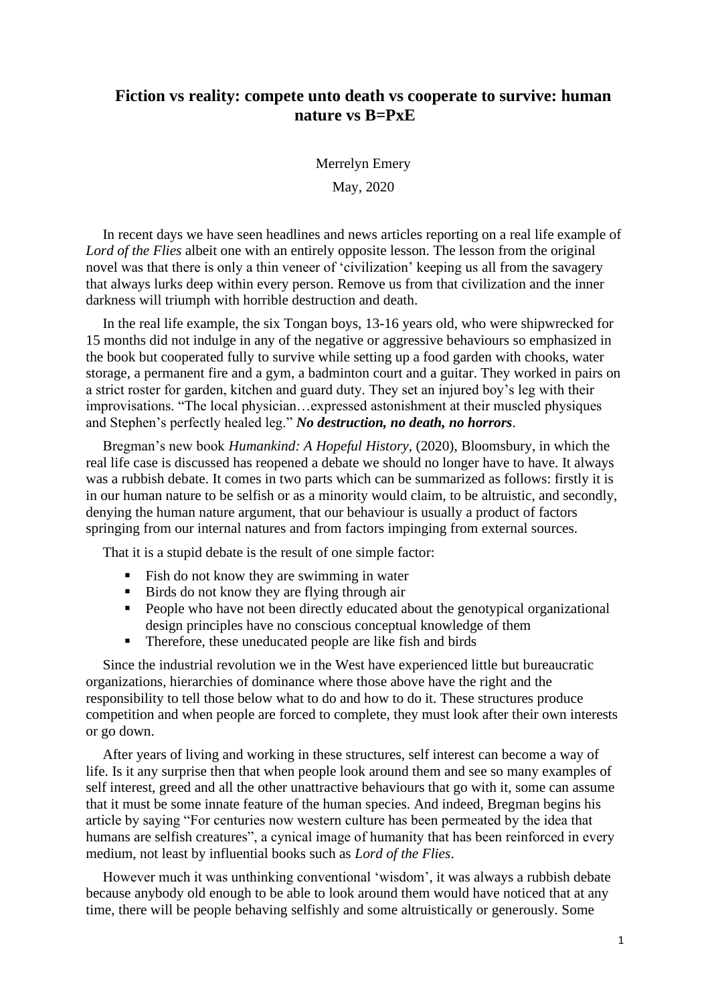## **Fiction vs reality: compete unto death vs cooperate to survive: human nature vs B=PxE**

Merrelyn Emery

May, 2020

In recent days we have seen headlines and news articles reporting on a real life example of *Lord of the Flies* albeit one with an entirely opposite lesson. The lesson from the original novel was that there is only a thin veneer of 'civilization' keeping us all from the savagery that always lurks deep within every person. Remove us from that civilization and the inner darkness will triumph with horrible destruction and death.

In the real life example, the six Tongan boys, 13-16 years old, who were shipwrecked for 15 months did not indulge in any of the negative or aggressive behaviours so emphasized in the book but cooperated fully to survive while setting up a food garden with chooks, water storage, a permanent fire and a gym, a badminton court and a guitar. They worked in pairs on a strict roster for garden, kitchen and guard duty. They set an injured boy's leg with their improvisations. "The local physician…expressed astonishment at their muscled physiques and Stephen's perfectly healed leg." *No destruction, no death, no horrors*.

Bregman's new book *Humankind: A Hopeful History*, (2020), Bloomsbury, in which the real life case is discussed has reopened a debate we should no longer have to have. It always was a rubbish debate. It comes in two parts which can be summarized as follows: firstly it is in our human nature to be selfish or as a minority would claim, to be altruistic, and secondly, denying the human nature argument, that our behaviour is usually a product of factors springing from our internal natures and from factors impinging from external sources.

That it is a stupid debate is the result of one simple factor:

- Fish do not know they are swimming in water
- Birds do not know they are flying through air
- People who have not been directly educated about the genotypical organizational design principles have no conscious conceptual knowledge of them
- Therefore, these uneducated people are like fish and birds

Since the industrial revolution we in the West have experienced little but bureaucratic organizations, hierarchies of dominance where those above have the right and the responsibility to tell those below what to do and how to do it. These structures produce competition and when people are forced to complete, they must look after their own interests or go down.

After years of living and working in these structures, self interest can become a way of life. Is it any surprise then that when people look around them and see so many examples of self interest, greed and all the other unattractive behaviours that go with it, some can assume that it must be some innate feature of the human species. And indeed, Bregman begins his article by saying "For centuries now western culture has been permeated by the idea that humans are selfish creatures", a cynical image of humanity that has been reinforced in every medium, not least by influential books such as *Lord of the Flies*.

However much it was unthinking conventional 'wisdom', it was always a rubbish debate because anybody old enough to be able to look around them would have noticed that at any time, there will be people behaving selfishly and some altruistically or generously. Some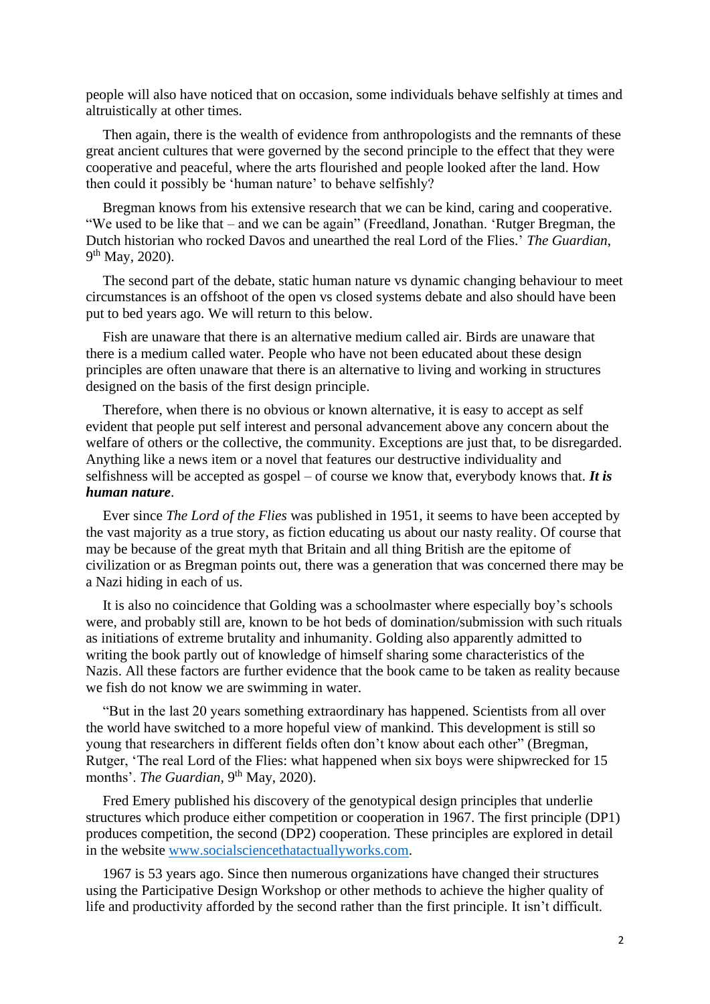people will also have noticed that on occasion, some individuals behave selfishly at times and altruistically at other times.

Then again, there is the wealth of evidence from anthropologists and the remnants of these great ancient cultures that were governed by the second principle to the effect that they were cooperative and peaceful, where the arts flourished and people looked after the land. How then could it possibly be 'human nature' to behave selfishly?

Bregman knows from his extensive research that we can be kind, caring and cooperative. "We used to be like that – and we can be again" (Freedland, Jonathan. 'Rutger Bregman, the Dutch historian who rocked Davos and unearthed the real Lord of the Flies.' *The Guardian*, 9<sup>th</sup> May, 2020).

The second part of the debate, static human nature vs dynamic changing behaviour to meet circumstances is an offshoot of the open vs closed systems debate and also should have been put to bed years ago. We will return to this below.

Fish are unaware that there is an alternative medium called air. Birds are unaware that there is a medium called water. People who have not been educated about these design principles are often unaware that there is an alternative to living and working in structures designed on the basis of the first design principle.

Therefore, when there is no obvious or known alternative, it is easy to accept as self evident that people put self interest and personal advancement above any concern about the welfare of others or the collective, the community. Exceptions are just that, to be disregarded. Anything like a news item or a novel that features our destructive individuality and selfishness will be accepted as gospel – of course we know that, everybody knows that. *It is human nature*.

Ever since *The Lord of the Flies* was published in 1951, it seems to have been accepted by the vast majority as a true story, as fiction educating us about our nasty reality. Of course that may be because of the great myth that Britain and all thing British are the epitome of civilization or as Bregman points out, there was a generation that was concerned there may be a Nazi hiding in each of us.

It is also no coincidence that Golding was a schoolmaster where especially boy's schools were, and probably still are, known to be hot beds of domination/submission with such rituals as initiations of extreme brutality and inhumanity. Golding also apparently admitted to writing the book partly out of knowledge of himself sharing some characteristics of the Nazis. All these factors are further evidence that the book came to be taken as reality because we fish do not know we are swimming in water.

"But in the last 20 years something extraordinary has happened. Scientists from all over the world have switched to a more hopeful view of mankind. This development is still so young that researchers in different fields often don't know about each other" (Bregman, Rutger, 'The real Lord of the Flies: what happened when six boys were shipwrecked for 15 months'. *The Guardian*, 9<sup>th</sup> May, 2020).

Fred Emery published his discovery of the genotypical design principles that underlie structures which produce either competition or cooperation in 1967. The first principle (DP1) produces competition, the second (DP2) cooperation. These principles are explored in detail in the website [www.socialsciencethatactuallyworks.com.](http://www.socialsciencethatactuallyworks.com/)

1967 is 53 years ago. Since then numerous organizations have changed their structures using the Participative Design Workshop or other methods to achieve the higher quality of life and productivity afforded by the second rather than the first principle. It isn't difficult.